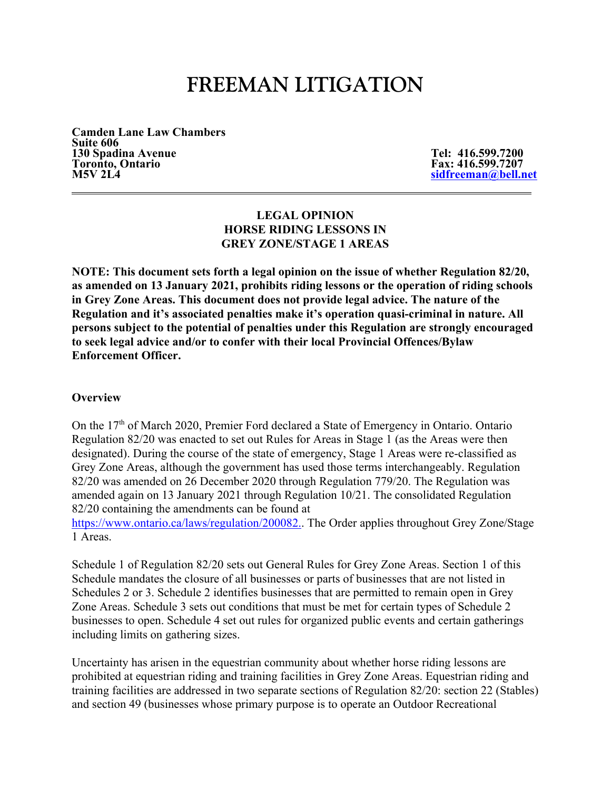# **FREEMAN LITIGATION**

**Camden Lane Law Chambers Suite 606 130 Spadina Avenue Tel: 416.599.7200** Toronto, Ontario **Fax: 416.599.7207**<br>M5V 2L4 sidfreeman@bell.net **M5V 2L4 sidfreeman@bell.net** 

## **LEGAL OPINION HORSE RIDING LESSONS IN GREY ZONE/STAGE 1 AREAS**

**NOTE: This document sets forth a legal opinion on the issue of whether Regulation 82/20, as amended on 13 January 2021, prohibits riding lessons or the operation of riding schools in Grey Zone Areas. This document does not provide legal advice. The nature of the Regulation and it's associated penalties make it's operation quasi-criminal in nature. All persons subject to the potential of penalties under this Regulation are strongly encouraged to seek legal advice and/or to confer with their local Provincial Offences/Bylaw Enforcement Officer.** 

#### **Overview**

On the 17<sup>th</sup> of March 2020, Premier Ford declared a State of Emergency in Ontario. Ontario Regulation 82/20 was enacted to set out Rules for Areas in Stage 1 (as the Areas were then designated). During the course of the state of emergency, Stage 1 Areas were re-classified as Grey Zone Areas, although the government has used those terms interchangeably. Regulation 82/20 was amended on 26 December 2020 through Regulation 779/20. The Regulation was amended again on 13 January 2021 through Regulation 10/21. The consolidated Regulation 82/20 containing the amendments can be found at

https://www.ontario.ca/laws/regulation/200082.. The Order applies throughout Grey Zone/Stage 1 Areas.

Schedule 1 of Regulation 82/20 sets out General Rules for Grey Zone Areas. Section 1 of this Schedule mandates the closure of all businesses or parts of businesses that are not listed in Schedules 2 or 3. Schedule 2 identifies businesses that are permitted to remain open in Grey Zone Areas. Schedule 3 sets out conditions that must be met for certain types of Schedule 2 businesses to open. Schedule 4 set out rules for organized public events and certain gatherings including limits on gathering sizes.

Uncertainty has arisen in the equestrian community about whether horse riding lessons are prohibited at equestrian riding and training facilities in Grey Zone Areas. Equestrian riding and training facilities are addressed in two separate sections of Regulation 82/20: section 22 (Stables) and section 49 (businesses whose primary purpose is to operate an Outdoor Recreational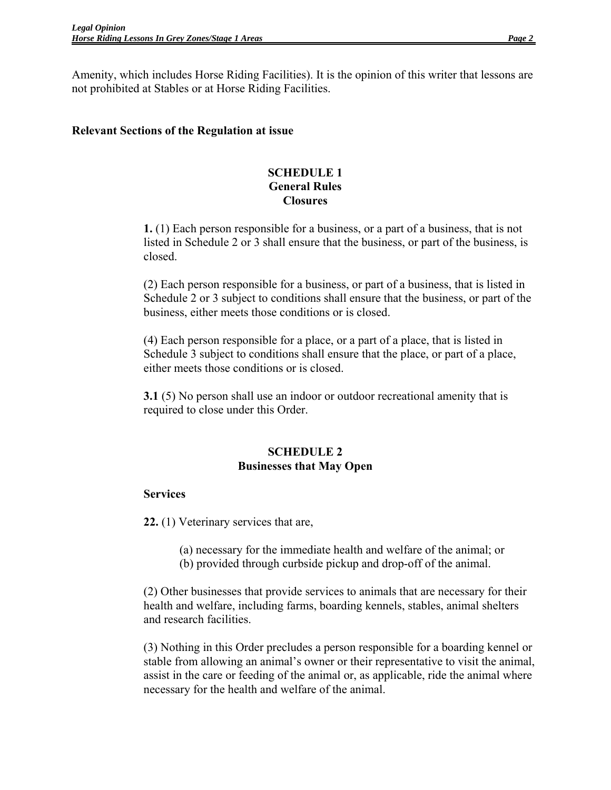Amenity, which includes Horse Riding Facilities). It is the opinion of this writer that lessons are not prohibited at Stables or at Horse Riding Facilities.

## **Relevant Sections of the Regulation at issue**

## **SCHEDULE 1 General Rules Closures**

**1.** (1) Each person responsible for a business, or a part of a business, that is not listed in Schedule 2 or 3 shall ensure that the business, or part of the business, is closed.

(2) Each person responsible for a business, or part of a business, that is listed in Schedule 2 or 3 subject to conditions shall ensure that the business, or part of the business, either meets those conditions or is closed.

(4) Each person responsible for a place, or a part of a place, that is listed in Schedule 3 subject to conditions shall ensure that the place, or part of a place, either meets those conditions or is closed.

**3.1** (5) No person shall use an indoor or outdoor recreational amenity that is required to close under this Order.

# **SCHEDULE 2 Businesses that May Open**

# **Services**

**22.** (1) Veterinary services that are,

(a) necessary for the immediate health and welfare of the animal; or (b) provided through curbside pickup and drop-off of the animal.

(2) Other businesses that provide services to animals that are necessary for their health and welfare, including farms, boarding kennels, stables, animal shelters and research facilities.

(3) Nothing in this Order precludes a person responsible for a boarding kennel or stable from allowing an animal's owner or their representative to visit the animal, assist in the care or feeding of the animal or, as applicable, ride the animal where necessary for the health and welfare of the animal.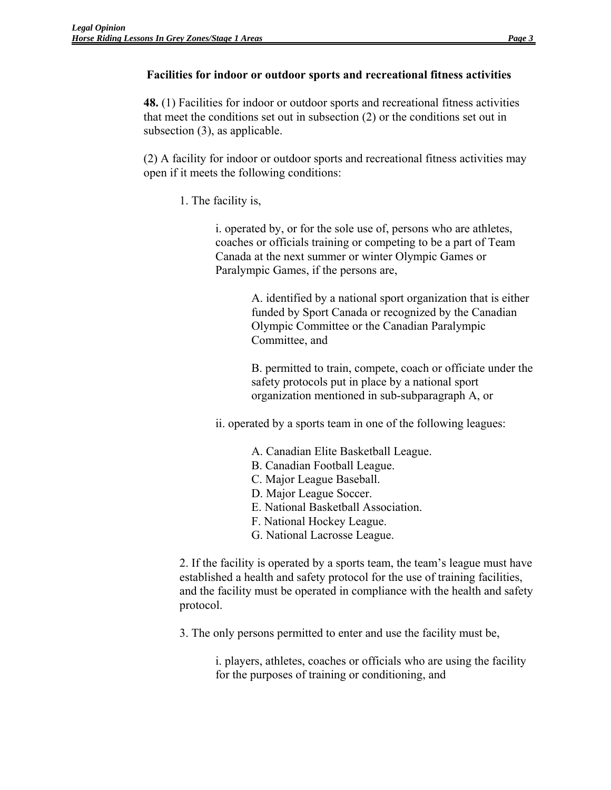## **Facilities for indoor or outdoor sports and recreational fitness activities**

**48.** (1) Facilities for indoor or outdoor sports and recreational fitness activities that meet the conditions set out in subsection (2) or the conditions set out in subsection (3), as applicable.

(2) A facility for indoor or outdoor sports and recreational fitness activities may open if it meets the following conditions:

1. The facility is,

i. operated by, or for the sole use of, persons who are athletes, coaches or officials training or competing to be a part of Team Canada at the next summer or winter Olympic Games or Paralympic Games, if the persons are,

> A. identified by a national sport organization that is either funded by Sport Canada or recognized by the Canadian Olympic Committee or the Canadian Paralympic Committee, and

B. permitted to train, compete, coach or officiate under the safety protocols put in place by a national sport organization mentioned in sub-subparagraph A, or

ii. operated by a sports team in one of the following leagues:

- A. Canadian Elite Basketball League.
- B. Canadian Football League.
- C. Major League Baseball.
- D. Major League Soccer.
- E. National Basketball Association.
- F. National Hockey League.
- G. National Lacrosse League.

2. If the facility is operated by a sports team, the team's league must have established a health and safety protocol for the use of training facilities, and the facility must be operated in compliance with the health and safety protocol.

3. The only persons permitted to enter and use the facility must be,

i. players, athletes, coaches or officials who are using the facility for the purposes of training or conditioning, and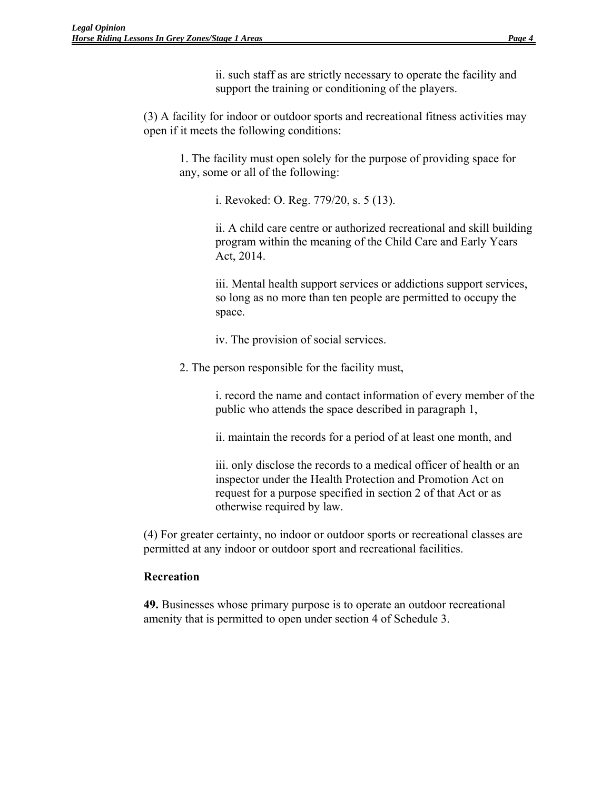ii. such staff as are strictly necessary to operate the facility and support the training or conditioning of the players.

(3) A facility for indoor or outdoor sports and recreational fitness activities may open if it meets the following conditions:

1. The facility must open solely for the purpose of providing space for any, some or all of the following:

i. Revoked: O. Reg. 779/20, s. 5 (13).

ii. A child care centre or authorized recreational and skill building program within the meaning of the Child Care and Early Years Act, 2014.

iii. Mental health support services or addictions support services, so long as no more than ten people are permitted to occupy the space.

iv. The provision of social services.

2. The person responsible for the facility must,

i. record the name and contact information of every member of the public who attends the space described in paragraph 1,

ii. maintain the records for a period of at least one month, and

iii. only disclose the records to a medical officer of health or an inspector under the Health Protection and Promotion Act on request for a purpose specified in section 2 of that Act or as otherwise required by law.

(4) For greater certainty, no indoor or outdoor sports or recreational classes are permitted at any indoor or outdoor sport and recreational facilities.

# **Recreation**

**49.** Businesses whose primary purpose is to operate an outdoor recreational amenity that is permitted to open under section 4 of Schedule 3.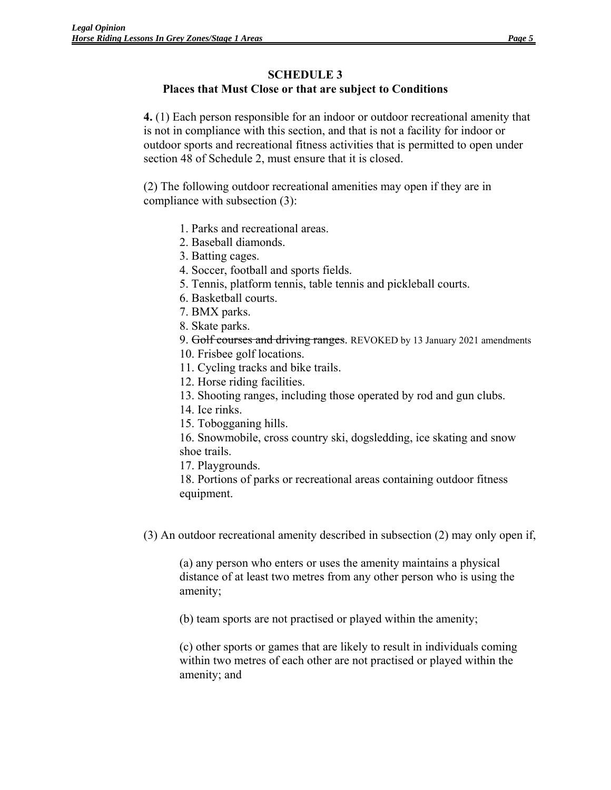#### **SCHEDULE 3**

## **Places that Must Close or that are subject to Conditions**

**4.** (1) Each person responsible for an indoor or outdoor recreational amenity that is not in compliance with this section, and that is not a facility for indoor or outdoor sports and recreational fitness activities that is permitted to open under section 48 of Schedule 2, must ensure that it is closed.

(2) The following outdoor recreational amenities may open if they are in compliance with subsection (3):

- 1. Parks and recreational areas.
- 2. Baseball diamonds.
- 3. Batting cages.
- 4. Soccer, football and sports fields.
- 5. Tennis, platform tennis, table tennis and pickleball courts.
- 6. Basketball courts.
- 7. BMX parks.
- 8. Skate parks.
- 9. Golf courses and driving ranges. REVOKED by 13 January 2021 amendments
- 10. Frisbee golf locations.
- 11. Cycling tracks and bike trails.
- 12. Horse riding facilities.
- 13. Shooting ranges, including those operated by rod and gun clubs.
- 14. Ice rinks.
- 15. Tobogganing hills.
- 16. Snowmobile, cross country ski, dogsledding, ice skating and snow shoe trails.
- 17. Playgrounds.
- 18. Portions of parks or recreational areas containing outdoor fitness equipment.
- (3) An outdoor recreational amenity described in subsection (2) may only open if,

(a) any person who enters or uses the amenity maintains a physical distance of at least two metres from any other person who is using the amenity;

(b) team sports are not practised or played within the amenity;

(c) other sports or games that are likely to result in individuals coming within two metres of each other are not practised or played within the amenity; and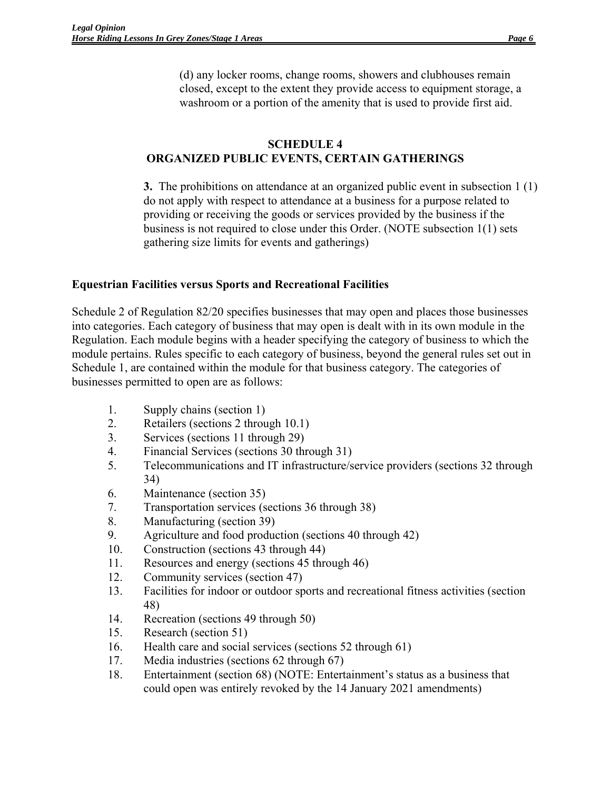(d) any locker rooms, change rooms, showers and clubhouses remain closed, except to the extent they provide access to equipment storage, a washroom or a portion of the amenity that is used to provide first aid.

## **SCHEDULE 4 ORGANIZED PUBLIC EVENTS, CERTAIN GATHERINGS**

**3.** The prohibitions on attendance at an organized public event in subsection 1 (1) do not apply with respect to attendance at a business for a purpose related to providing or receiving the goods or services provided by the business if the business is not required to close under this Order. (NOTE subsection 1(1) sets gathering size limits for events and gatherings)

# **Equestrian Facilities versus Sports and Recreational Facilities**

Schedule 2 of Regulation 82/20 specifies businesses that may open and places those businesses into categories. Each category of business that may open is dealt with in its own module in the Regulation. Each module begins with a header specifying the category of business to which the module pertains. Rules specific to each category of business, beyond the general rules set out in Schedule 1, are contained within the module for that business category. The categories of businesses permitted to open are as follows:

- 1. Supply chains (section 1)
- 2. Retailers (sections 2 through 10.1)
- 3. Services (sections 11 through 29)
- 4. Financial Services (sections 30 through 31)
- 5. Telecommunications and IT infrastructure/service providers (sections 32 through 34)
- 6. Maintenance (section 35)
- 7. Transportation services (sections 36 through 38)
- 8. Manufacturing (section 39)
- 9. Agriculture and food production (sections 40 through 42)
- 10. Construction (sections 43 through 44)
- 11. Resources and energy (sections 45 through 46)
- 12. Community services (section 47)
- 13. Facilities for indoor or outdoor sports and recreational fitness activities (section 48)
- 14. Recreation (sections 49 through 50)
- 15. Research (section 51)
- 16. Health care and social services (sections 52 through 61)
- 17. Media industries (sections 62 through 67)
- 18. Entertainment (section 68) (NOTE: Entertainment's status as a business that could open was entirely revoked by the 14 January 2021 amendments)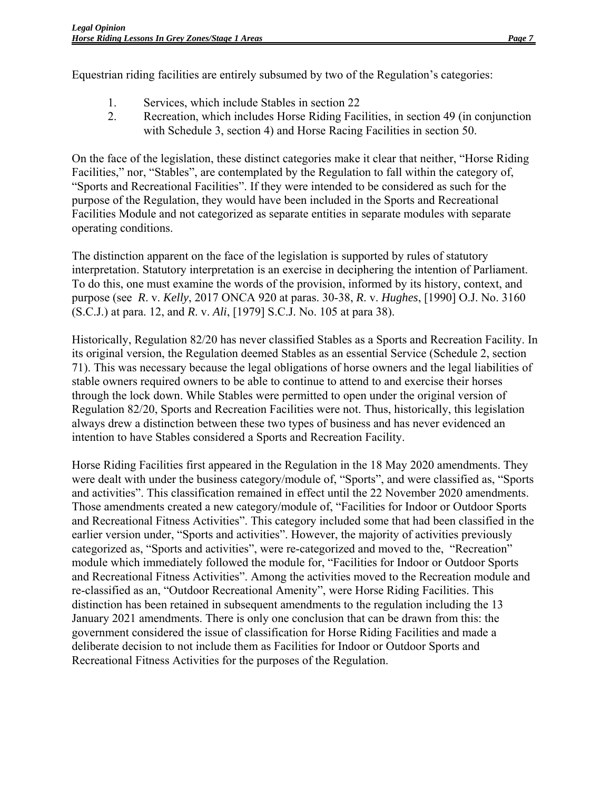Equestrian riding facilities are entirely subsumed by two of the Regulation's categories:

- 1. Services, which include Stables in section 22
- 2. Recreation, which includes Horse Riding Facilities, in section 49 (in conjunction with Schedule 3, section 4) and Horse Racing Facilities in section 50.

On the face of the legislation, these distinct categories make it clear that neither, "Horse Riding Facilities," nor, "Stables", are contemplated by the Regulation to fall within the category of, "Sports and Recreational Facilities". If they were intended to be considered as such for the purpose of the Regulation, they would have been included in the Sports and Recreational Facilities Module and not categorized as separate entities in separate modules with separate operating conditions.

The distinction apparent on the face of the legislation is supported by rules of statutory interpretation. Statutory interpretation is an exercise in deciphering the intention of Parliament. To do this, one must examine the words of the provision, informed by its history, context, and purpose (see *R*. v. *Kelly*, 2017 ONCA 920 at paras. 30-38, *R*. v. *Hughes*, [1990] O.J. No. 3160 (S.C.J.) at para. 12, and *R*. v. *Ali*, [1979] S.C.J. No. 105 at para 38).

Historically, Regulation 82/20 has never classified Stables as a Sports and Recreation Facility. In its original version, the Regulation deemed Stables as an essential Service (Schedule 2, section 71). This was necessary because the legal obligations of horse owners and the legal liabilities of stable owners required owners to be able to continue to attend to and exercise their horses through the lock down. While Stables were permitted to open under the original version of Regulation 82/20, Sports and Recreation Facilities were not. Thus, historically, this legislation always drew a distinction between these two types of business and has never evidenced an intention to have Stables considered a Sports and Recreation Facility.

Horse Riding Facilities first appeared in the Regulation in the 18 May 2020 amendments. They were dealt with under the business category/module of, "Sports", and were classified as, "Sports and activities". This classification remained in effect until the 22 November 2020 amendments. Those amendments created a new category/module of, "Facilities for Indoor or Outdoor Sports and Recreational Fitness Activities". This category included some that had been classified in the earlier version under, "Sports and activities". However, the majority of activities previously categorized as, "Sports and activities", were re-categorized and moved to the, "Recreation" module which immediately followed the module for, "Facilities for Indoor or Outdoor Sports and Recreational Fitness Activities". Among the activities moved to the Recreation module and re-classified as an, "Outdoor Recreational Amenity", were Horse Riding Facilities. This distinction has been retained in subsequent amendments to the regulation including the 13 January 2021 amendments. There is only one conclusion that can be drawn from this: the government considered the issue of classification for Horse Riding Facilities and made a deliberate decision to not include them as Facilities for Indoor or Outdoor Sports and Recreational Fitness Activities for the purposes of the Regulation.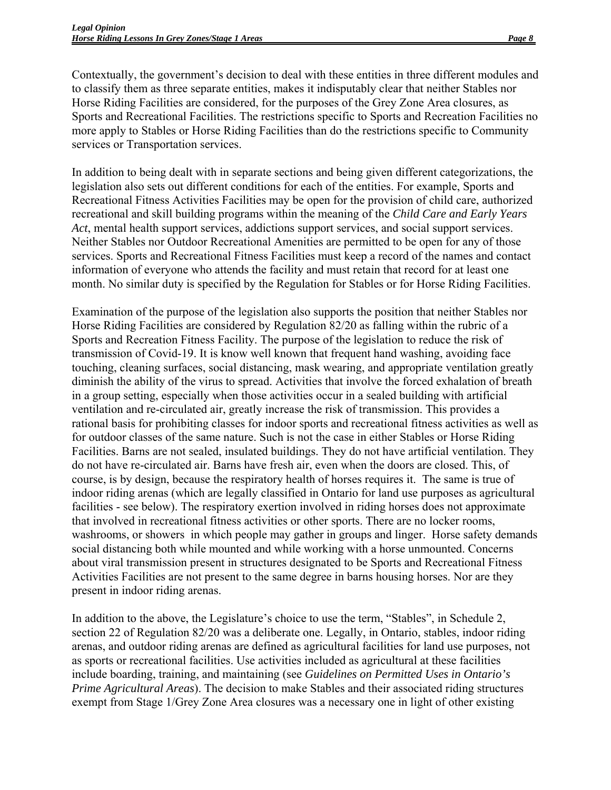Contextually, the government's decision to deal with these entities in three different modules and to classify them as three separate entities, makes it indisputably clear that neither Stables nor Horse Riding Facilities are considered, for the purposes of the Grey Zone Area closures, as Sports and Recreational Facilities. The restrictions specific to Sports and Recreation Facilities no more apply to Stables or Horse Riding Facilities than do the restrictions specific to Community services or Transportation services.

In addition to being dealt with in separate sections and being given different categorizations, the legislation also sets out different conditions for each of the entities. For example, Sports and Recreational Fitness Activities Facilities may be open for the provision of child care, authorized recreational and skill building programs within the meaning of the *Child Care and Early Years Act*, mental health support services, addictions support services, and social support services. Neither Stables nor Outdoor Recreational Amenities are permitted to be open for any of those services. Sports and Recreational Fitness Facilities must keep a record of the names and contact information of everyone who attends the facility and must retain that record for at least one month. No similar duty is specified by the Regulation for Stables or for Horse Riding Facilities.

Examination of the purpose of the legislation also supports the position that neither Stables nor Horse Riding Facilities are considered by Regulation 82/20 as falling within the rubric of a Sports and Recreation Fitness Facility. The purpose of the legislation to reduce the risk of transmission of Covid-19. It is know well known that frequent hand washing, avoiding face touching, cleaning surfaces, social distancing, mask wearing, and appropriate ventilation greatly diminish the ability of the virus to spread. Activities that involve the forced exhalation of breath in a group setting, especially when those activities occur in a sealed building with artificial ventilation and re-circulated air, greatly increase the risk of transmission. This provides a rational basis for prohibiting classes for indoor sports and recreational fitness activities as well as for outdoor classes of the same nature. Such is not the case in either Stables or Horse Riding Facilities. Barns are not sealed, insulated buildings. They do not have artificial ventilation. They do not have re-circulated air. Barns have fresh air, even when the doors are closed. This, of course, is by design, because the respiratory health of horses requires it. The same is true of indoor riding arenas (which are legally classified in Ontario for land use purposes as agricultural facilities - see below). The respiratory exertion involved in riding horses does not approximate that involved in recreational fitness activities or other sports. There are no locker rooms, washrooms, or showers in which people may gather in groups and linger. Horse safety demands social distancing both while mounted and while working with a horse unmounted. Concerns about viral transmission present in structures designated to be Sports and Recreational Fitness Activities Facilities are not present to the same degree in barns housing horses. Nor are they present in indoor riding arenas.

In addition to the above, the Legislature's choice to use the term, "Stables", in Schedule 2, section 22 of Regulation 82/20 was a deliberate one. Legally, in Ontario, stables, indoor riding arenas, and outdoor riding arenas are defined as agricultural facilities for land use purposes, not as sports or recreational facilities. Use activities included as agricultural at these facilities include boarding, training, and maintaining (see *Guidelines on Permitted Uses in Ontario's Prime Agricultural Areas*). The decision to make Stables and their associated riding structures exempt from Stage 1/Grey Zone Area closures was a necessary one in light of other existing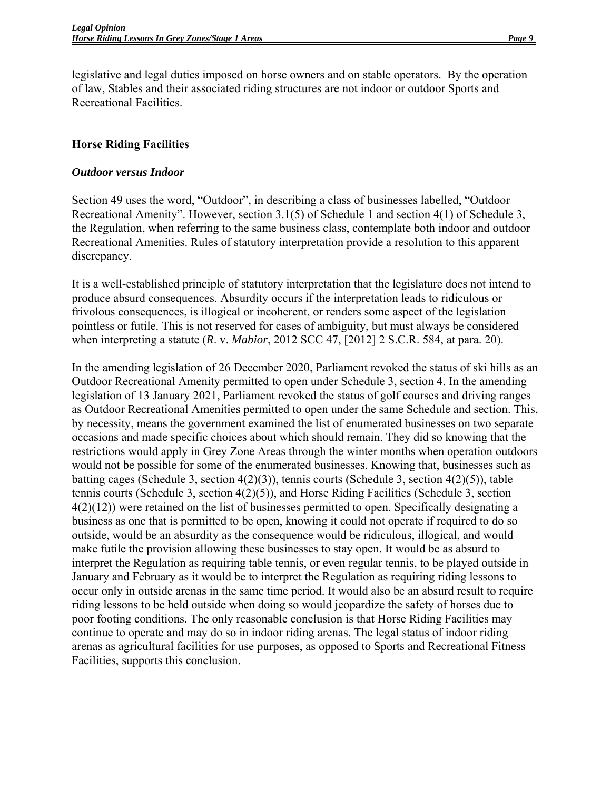legislative and legal duties imposed on horse owners and on stable operators. By the operation of law, Stables and their associated riding structures are not indoor or outdoor Sports and Recreational Facilities.

## **Horse Riding Facilities**

#### *Outdoor versus Indoor*

Section 49 uses the word, "Outdoor", in describing a class of businesses labelled, "Outdoor Recreational Amenity". However, section 3.1(5) of Schedule 1 and section 4(1) of Schedule 3, the Regulation, when referring to the same business class, contemplate both indoor and outdoor Recreational Amenities. Rules of statutory interpretation provide a resolution to this apparent discrepancy.

It is a well-established principle of statutory interpretation that the legislature does not intend to produce absurd consequences. Absurdity occurs if the interpretation leads to ridiculous or frivolous consequences, is illogical or incoherent, or renders some aspect of the legislation pointless or futile. This is not reserved for cases of ambiguity, but must always be considered when interpreting a statute (*R*. v. *Mabior*, 2012 SCC 47, [2012] 2 S.C.R. 584, at para. 20).

In the amending legislation of 26 December 2020, Parliament revoked the status of ski hills as an Outdoor Recreational Amenity permitted to open under Schedule 3, section 4. In the amending legislation of 13 January 2021, Parliament revoked the status of golf courses and driving ranges as Outdoor Recreational Amenities permitted to open under the same Schedule and section. This, by necessity, means the government examined the list of enumerated businesses on two separate occasions and made specific choices about which should remain. They did so knowing that the restrictions would apply in Grey Zone Areas through the winter months when operation outdoors would not be possible for some of the enumerated businesses. Knowing that, businesses such as batting cages (Schedule 3, section 4(2)(3)), tennis courts (Schedule 3, section 4(2)(5)), table tennis courts (Schedule 3, section 4(2)(5)), and Horse Riding Facilities (Schedule 3, section 4(2)(12)) were retained on the list of businesses permitted to open. Specifically designating a business as one that is permitted to be open, knowing it could not operate if required to do so outside, would be an absurdity as the consequence would be ridiculous, illogical, and would make futile the provision allowing these businesses to stay open. It would be as absurd to interpret the Regulation as requiring table tennis, or even regular tennis, to be played outside in January and February as it would be to interpret the Regulation as requiring riding lessons to occur only in outside arenas in the same time period. It would also be an absurd result to require riding lessons to be held outside when doing so would jeopardize the safety of horses due to poor footing conditions. The only reasonable conclusion is that Horse Riding Facilities may continue to operate and may do so in indoor riding arenas. The legal status of indoor riding arenas as agricultural facilities for use purposes, as opposed to Sports and Recreational Fitness Facilities, supports this conclusion.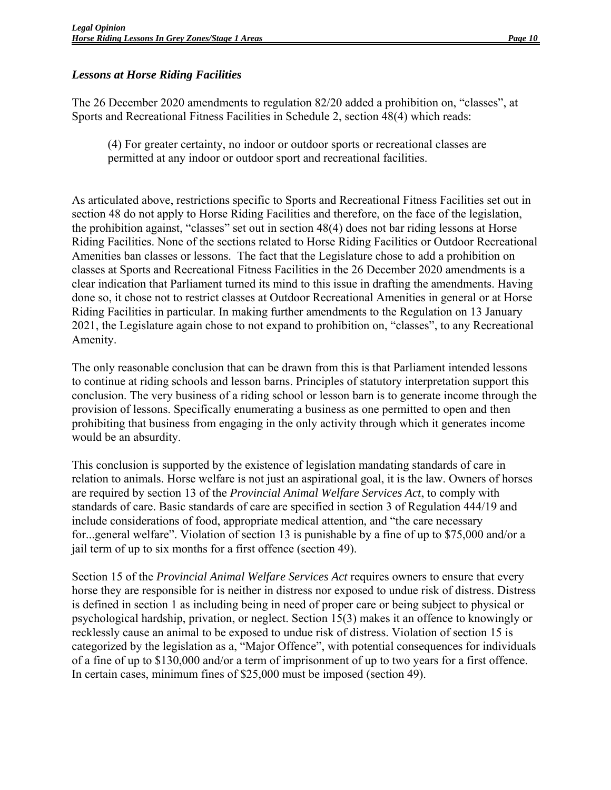# *Lessons at Horse Riding Facilities*

The 26 December 2020 amendments to regulation 82/20 added a prohibition on, "classes", at Sports and Recreational Fitness Facilities in Schedule 2, section 48(4) which reads:

(4) For greater certainty, no indoor or outdoor sports or recreational classes are permitted at any indoor or outdoor sport and recreational facilities.

As articulated above, restrictions specific to Sports and Recreational Fitness Facilities set out in section 48 do not apply to Horse Riding Facilities and therefore, on the face of the legislation, the prohibition against, "classes" set out in section 48(4) does not bar riding lessons at Horse Riding Facilities. None of the sections related to Horse Riding Facilities or Outdoor Recreational Amenities ban classes or lessons. The fact that the Legislature chose to add a prohibition on classes at Sports and Recreational Fitness Facilities in the 26 December 2020 amendments is a clear indication that Parliament turned its mind to this issue in drafting the amendments. Having done so, it chose not to restrict classes at Outdoor Recreational Amenities in general or at Horse Riding Facilities in particular. In making further amendments to the Regulation on 13 January 2021, the Legislature again chose to not expand to prohibition on, "classes", to any Recreational Amenity.

The only reasonable conclusion that can be drawn from this is that Parliament intended lessons to continue at riding schools and lesson barns. Principles of statutory interpretation support this conclusion. The very business of a riding school or lesson barn is to generate income through the provision of lessons. Specifically enumerating a business as one permitted to open and then prohibiting that business from engaging in the only activity through which it generates income would be an absurdity.

This conclusion is supported by the existence of legislation mandating standards of care in relation to animals. Horse welfare is not just an aspirational goal, it is the law. Owners of horses are required by section 13 of the *Provincial Animal Welfare Services Act*, to comply with standards of care. Basic standards of care are specified in section 3 of Regulation 444/19 and include considerations of food, appropriate medical attention, and "the care necessary for...general welfare". Violation of section 13 is punishable by a fine of up to \$75,000 and/or a jail term of up to six months for a first offence (section 49).

Section 15 of the *Provincial Animal Welfare Services Act* requires owners to ensure that every horse they are responsible for is neither in distress nor exposed to undue risk of distress. Distress is defined in section 1 as including being in need of proper care or being subject to physical or psychological hardship, privation, or neglect. Section 15(3) makes it an offence to knowingly or recklessly cause an animal to be exposed to undue risk of distress. Violation of section 15 is categorized by the legislation as a, "Major Offence", with potential consequences for individuals of a fine of up to \$130,000 and/or a term of imprisonment of up to two years for a first offence. In certain cases, minimum fines of \$25,000 must be imposed (section 49).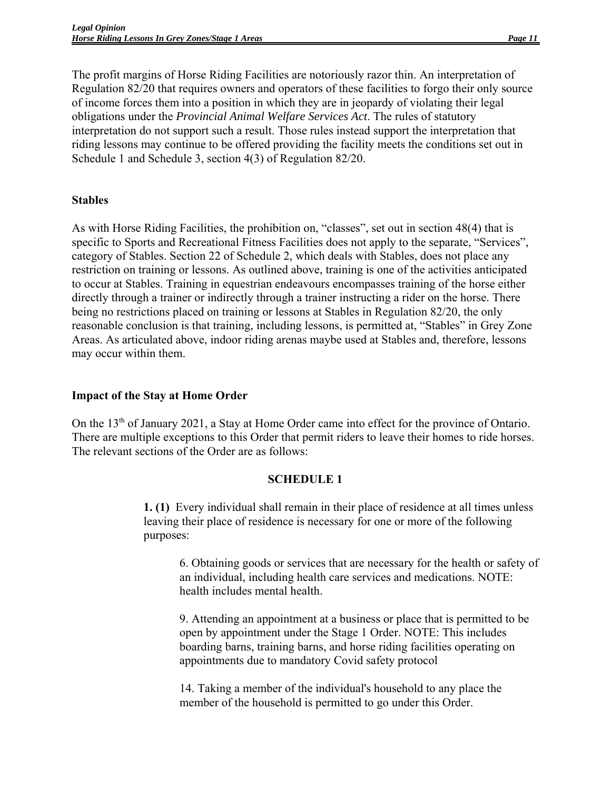The profit margins of Horse Riding Facilities are notoriously razor thin. An interpretation of Regulation 82/20 that requires owners and operators of these facilities to forgo their only source of income forces them into a position in which they are in jeopardy of violating their legal obligations under the *Provincial Animal Welfare Services Act*. The rules of statutory interpretation do not support such a result. Those rules instead support the interpretation that riding lessons may continue to be offered providing the facility meets the conditions set out in Schedule 1 and Schedule 3, section 4(3) of Regulation 82/20.

#### **Stables**

As with Horse Riding Facilities, the prohibition on, "classes", set out in section 48(4) that is specific to Sports and Recreational Fitness Facilities does not apply to the separate, "Services", category of Stables. Section 22 of Schedule 2, which deals with Stables, does not place any restriction on training or lessons. As outlined above, training is one of the activities anticipated to occur at Stables. Training in equestrian endeavours encompasses training of the horse either directly through a trainer or indirectly through a trainer instructing a rider on the horse. There being no restrictions placed on training or lessons at Stables in Regulation 82/20, the only reasonable conclusion is that training, including lessons, is permitted at, "Stables" in Grey Zone Areas. As articulated above, indoor riding arenas maybe used at Stables and, therefore, lessons may occur within them.

#### **Impact of the Stay at Home Order**

On the  $13<sup>th</sup>$  of January 2021, a Stay at Home Order came into effect for the province of Ontario. There are multiple exceptions to this Order that permit riders to leave their homes to ride horses. The relevant sections of the Order are as follows:

#### **SCHEDULE 1**

**1. (1)** Every individual shall remain in their place of residence at all times unless leaving their place of residence is necessary for one or more of the following purposes:

6. Obtaining goods or services that are necessary for the health or safety of an individual, including health care services and medications. NOTE: health includes mental health.

9. Attending an appointment at a business or place that is permitted to be open by appointment under the Stage 1 Order. NOTE: This includes boarding barns, training barns, and horse riding facilities operating on appointments due to mandatory Covid safety protocol

14. Taking a member of the individual's household to any place the member of the household is permitted to go under this Order.